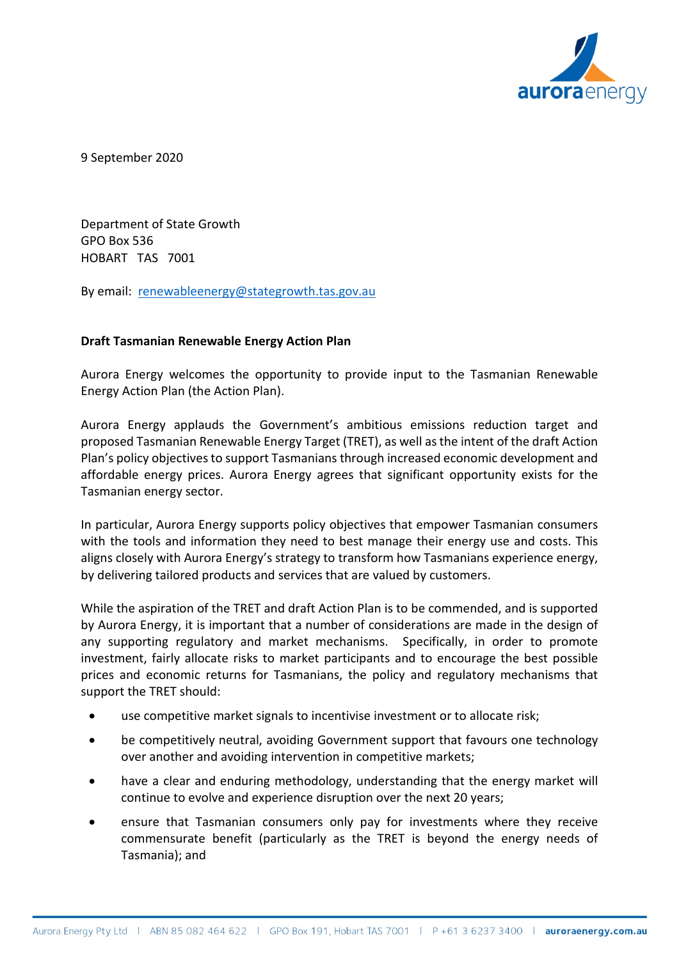

9 September 2020

Department of State Growth GPO Box 536 HOBART TAS 7001

By email: [renewableenergy@stategrowth.tas.gov.au](mailto:renewableenergy@stategrowth.tas.gov.au)

## **Draft Tasmanian Renewable Energy Action Plan**

Aurora Energy welcomes the opportunity to provide input to the Tasmanian Renewable Energy Action Plan (the Action Plan).

Aurora Energy applauds the Government's ambitious emissions reduction target and proposed Tasmanian Renewable Energy Target (TRET), as well as the intent of the draft Action Plan's policy objectives to support Tasmanians through increased economic development and affordable energy prices. Aurora Energy agrees that significant opportunity exists for the Tasmanian energy sector.

In particular, Aurora Energy supports policy objectives that empower Tasmanian consumers with the tools and information they need to best manage their energy use and costs. This aligns closely with Aurora Energy's strategy to transform how Tasmanians experience energy, by delivering tailored products and services that are valued by customers.

While the aspiration of the TRET and draft Action Plan is to be commended, and is supported by Aurora Energy, it is important that a number of considerations are made in the design of any supporting regulatory and market mechanisms. Specifically, in order to promote investment, fairly allocate risks to market participants and to encourage the best possible prices and economic returns for Tasmanians, the policy and regulatory mechanisms that support the TRET should:

- use competitive market signals to incentivise investment or to allocate risk;
- be competitively neutral, avoiding Government support that favours one technology over another and avoiding intervention in competitive markets;
- have a clear and enduring methodology, understanding that the energy market will continue to evolve and experience disruption over the next 20 years;
- ensure that Tasmanian consumers only pay for investments where they receive commensurate benefit (particularly as the TRET is beyond the energy needs of Tasmania); and